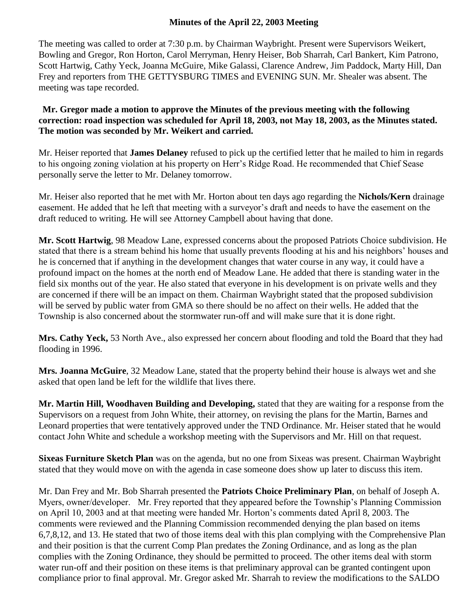## **Minutes of the April 22, 2003 Meeting**

The meeting was called to order at 7:30 p.m. by Chairman Waybright. Present were Supervisors Weikert, Bowling and Gregor, Ron Horton, Carol Merryman, Henry Heiser, Bob Sharrah, Carl Bankert, Kim Patrono, Scott Hartwig, Cathy Yeck, Joanna McGuire, Mike Galassi, Clarence Andrew, Jim Paddock, Marty Hill, Dan Frey and reporters from THE GETTYSBURG TIMES and EVENING SUN. Mr. Shealer was absent. The meeting was tape recorded.

**Mr. Gregor made a motion to approve the Minutes of the previous meeting with the following correction: road inspection was scheduled for April 18, 2003, not May 18, 2003, as the Minutes stated. The motion was seconded by Mr. Weikert and carried.**

Mr. Heiser reported that **James Delaney** refused to pick up the certified letter that he mailed to him in regards to his ongoing zoning violation at his property on Herr's Ridge Road. He recommended that Chief Sease personally serve the letter to Mr. Delaney tomorrow.

Mr. Heiser also reported that he met with Mr. Horton about ten days ago regarding the **Nichols/Kern** drainage easement. He added that he left that meeting with a surveyor's draft and needs to have the easement on the draft reduced to writing. He will see Attorney Campbell about having that done.

**Mr. Scott Hartwig**, 98 Meadow Lane, expressed concerns about the proposed Patriots Choice subdivision. He stated that there is a stream behind his home that usually prevents flooding at his and his neighbors' houses and he is concerned that if anything in the development changes that water course in any way, it could have a profound impact on the homes at the north end of Meadow Lane. He added that there is standing water in the field six months out of the year. He also stated that everyone in his development is on private wells and they are concerned if there will be an impact on them. Chairman Waybright stated that the proposed subdivision will be served by public water from GMA so there should be no affect on their wells. He added that the Township is also concerned about the stormwater run-off and will make sure that it is done right.

**Mrs. Cathy Yeck,** 53 North Ave., also expressed her concern about flooding and told the Board that they had flooding in 1996.

**Mrs. Joanna McGuire**, 32 Meadow Lane, stated that the property behind their house is always wet and she asked that open land be left for the wildlife that lives there.

**Mr. Martin Hill, Woodhaven Building and Developing,** stated that they are waiting for a response from the Supervisors on a request from John White, their attorney, on revising the plans for the Martin, Barnes and Leonard properties that were tentatively approved under the TND Ordinance. Mr. Heiser stated that he would contact John White and schedule a workshop meeting with the Supervisors and Mr. Hill on that request.

**Sixeas Furniture Sketch Plan** was on the agenda, but no one from Sixeas was present. Chairman Waybright stated that they would move on with the agenda in case someone does show up later to discuss this item.

Mr. Dan Frey and Mr. Bob Sharrah presented the **Patriots Choice Preliminary Plan**, on behalf of Joseph A. Myers, owner/developer. Mr. Frey reported that they appeared before the Township's Planning Commission on April 10, 2003 and at that meeting were handed Mr. Horton's comments dated April 8, 2003. The comments were reviewed and the Planning Commission recommended denying the plan based on items 6,7,8,12, and 13. He stated that two of those items deal with this plan complying with the Comprehensive Plan and their position is that the current Comp Plan predates the Zoning Ordinance, and as long as the plan complies with the Zoning Ordinance, they should be permitted to proceed. The other items deal with storm water run-off and their position on these items is that preliminary approval can be granted contingent upon compliance prior to final approval. Mr. Gregor asked Mr. Sharrah to review the modifications to the SALDO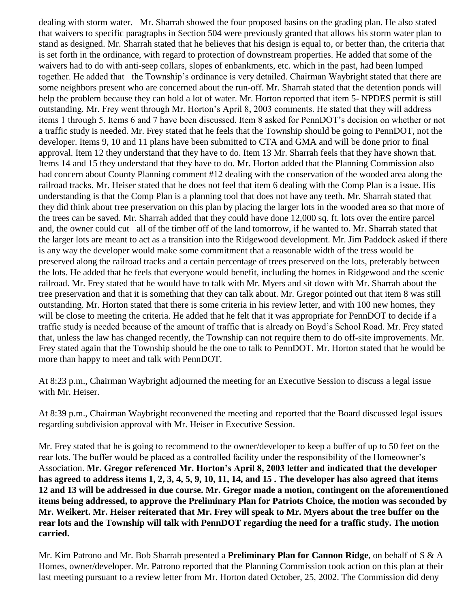dealing with storm water. Mr. Sharrah showed the four proposed basins on the grading plan. He also stated that waivers to specific paragraphs in Section 504 were previously granted that allows his storm water plan to stand as designed. Mr. Sharrah stated that he believes that his design is equal to, or better than, the criteria that is set forth in the ordinance, with regard to protection of downstream properties. He added that some of the waivers had to do with anti-seep collars, slopes of enbankments, etc. which in the past, had been lumped together. He added that the Township's ordinance is very detailed. Chairman Waybright stated that there are some neighbors present who are concerned about the run-off. Mr. Sharrah stated that the detention ponds will help the problem because they can hold a lot of water. Mr. Horton reported that item 5- NPDES permit is still outstanding. Mr. Frey went through Mr. Horton's April 8, 2003 comments. He stated that they will address items 1 through 5. Items 6 and 7 have been discussed. Item 8 asked for PennDOT's decision on whether or not a traffic study is needed. Mr. Frey stated that he feels that the Township should be going to PennDOT, not the developer. Items 9, 10 and 11 plans have been submitted to CTA and GMA and will be done prior to final approval. Item 12 they understand that they have to do. Item 13 Mr. Sharrah feels that they have shown that. Items 14 and 15 they understand that they have to do. Mr. Horton added that the Planning Commission also had concern about County Planning comment #12 dealing with the conservation of the wooded area along the railroad tracks. Mr. Heiser stated that he does not feel that item 6 dealing with the Comp Plan is a issue. His understanding is that the Comp Plan is a planning tool that does not have any teeth. Mr. Sharrah stated that they did think about tree preservation on this plan by placing the larger lots in the wooded area so that more of the trees can be saved. Mr. Sharrah added that they could have done 12,000 sq. ft. lots over the entire parcel and, the owner could cut all of the timber off of the land tomorrow, if he wanted to. Mr. Sharrah stated that the larger lots are meant to act as a transition into the Ridgewood development. Mr. Jim Paddock asked if there is any way the developer would make some commitment that a reasonable width of the tress would be preserved along the railroad tracks and a certain percentage of trees preserved on the lots, preferably between the lots. He added that he feels that everyone would benefit, including the homes in Ridgewood and the scenic railroad. Mr. Frey stated that he would have to talk with Mr. Myers and sit down with Mr. Sharrah about the tree preservation and that it is something that they can talk about. Mr. Gregor pointed out that item 8 was still outstanding. Mr. Horton stated that there is some criteria in his review letter, and with 100 new homes, they will be close to meeting the criteria. He added that he felt that it was appropriate for PennDOT to decide if a traffic study is needed because of the amount of traffic that is already on Boyd's School Road. Mr. Frey stated that, unless the law has changed recently, the Township can not require them to do off-site improvements. Mr. Frey stated again that the Township should be the one to talk to PennDOT. Mr. Horton stated that he would be more than happy to meet and talk with PennDOT.

At 8:23 p.m., Chairman Waybright adjourned the meeting for an Executive Session to discuss a legal issue with Mr. Heiser.

At 8:39 p.m., Chairman Waybright reconvened the meeting and reported that the Board discussed legal issues regarding subdivision approval with Mr. Heiser in Executive Session.

Mr. Frey stated that he is going to recommend to the owner/developer to keep a buffer of up to 50 feet on the rear lots. The buffer would be placed as a controlled facility under the responsibility of the Homeowner's Association. **Mr. Gregor referenced Mr. Horton's April 8, 2003 letter and indicated that the developer has agreed to address items 1, 2, 3, 4, 5, 9, 10, 11, 14, and 15 . The developer has also agreed that items 12 and 13 will be addressed in due course. Mr. Gregor made a motion, contingent on the aforementioned items being addressed, to approve the Preliminary Plan for Patriots Choice, the motion was seconded by Mr. Weikert. Mr. Heiser reiterated that Mr. Frey will speak to Mr. Myers about the tree buffer on the rear lots and the Township will talk with PennDOT regarding the need for a traffic study. The motion carried.**

Mr. Kim Patrono and Mr. Bob Sharrah presented a **Preliminary Plan for Cannon Ridge**, on behalf of S & A Homes, owner/developer. Mr. Patrono reported that the Planning Commission took action on this plan at their last meeting pursuant to a review letter from Mr. Horton dated October, 25, 2002. The Commission did deny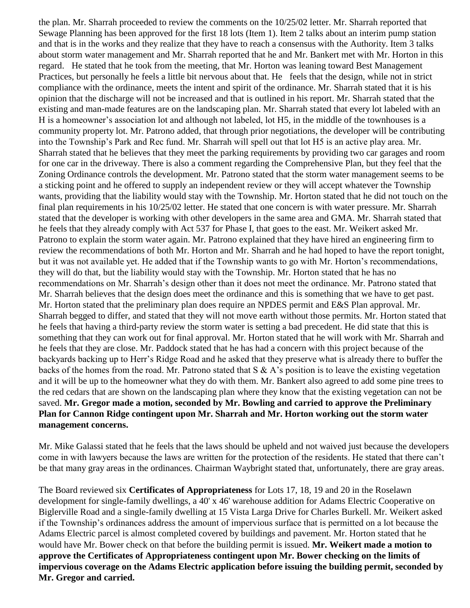the plan. Mr. Sharrah proceeded to review the comments on the 10/25/02 letter. Mr. Sharrah reported that Sewage Planning has been approved for the first 18 lots (Item 1). Item 2 talks about an interim pump station and that is in the works and they realize that they have to reach a consensus with the Authority. Item 3 talks about storm water management and Mr. Sharrah reported that he and Mr. Bankert met with Mr. Horton in this regard. He stated that he took from the meeting, that Mr. Horton was leaning toward Best Management Practices, but personally he feels a little bit nervous about that. He feels that the design, while not in strict compliance with the ordinance, meets the intent and spirit of the ordinance. Mr. Sharrah stated that it is his opinion that the discharge will not be increased and that is outlined in his report. Mr. Sharrah stated that the existing and man-made features are on the landscaping plan. Mr. Sharrah stated that every lot labeled with an H is a homeowner's association lot and although not labeled, lot H5, in the middle of the townhouses is a community property lot. Mr. Patrono added, that through prior negotiations, the developer will be contributing into the Township's Park and Rec fund. Mr. Sharrah will spell out that lot H5 is an active play area. Mr. Sharrah stated that he believes that they meet the parking requirements by providing two car garages and room for one car in the driveway. There is also a comment regarding the Comprehensive Plan, but they feel that the Zoning Ordinance controls the development. Mr. Patrono stated that the storm water management seems to be a sticking point and he offered to supply an independent review or they will accept whatever the Township wants, providing that the liability would stay with the Township. Mr. Horton stated that he did not touch on the final plan requirements in his 10/25/02 letter. He stated that one concern is with water pressure. Mr. Sharrah stated that the developer is working with other developers in the same area and GMA. Mr. Sharrah stated that he feels that they already comply with Act 537 for Phase I, that goes to the east. Mr. Weikert asked Mr. Patrono to explain the storm water again. Mr. Patrono explained that they have hired an engineering firm to review the recommendations of both Mr. Horton and Mr. Sharrah and he had hoped to have the report tonight, but it was not available yet. He added that if the Township wants to go with Mr. Horton's recommendations, they will do that, but the liability would stay with the Township. Mr. Horton stated that he has no recommendations on Mr. Sharrah's design other than it does not meet the ordinance. Mr. Patrono stated that Mr. Sharrah believes that the design does meet the ordinance and this is something that we have to get past. Mr. Horton stated that the preliminary plan does require an NPDES permit and E&S Plan approval. Mr. Sharrah begged to differ, and stated that they will not move earth without those permits. Mr. Horton stated that he feels that having a third-party review the storm water is setting a bad precedent. He did state that this is something that they can work out for final approval. Mr. Horton stated that he will work with Mr. Sharrah and he feels that they are close. Mr. Paddock stated that he has had a concern with this project because of the backyards backing up to Herr's Ridge Road and he asked that they preserve what is already there to buffer the backs of the homes from the road. Mr. Patrono stated that  $S \& A$ 's position is to leave the existing vegetation and it will be up to the homeowner what they do with them. Mr. Bankert also agreed to add some pine trees to the red cedars that are shown on the landscaping plan where they know that the existing vegetation can not be saved. **Mr. Gregor made a motion, seconded by Mr. Bowling and carried to approve the Preliminary Plan for Cannon Ridge contingent upon Mr. Sharrah and Mr. Horton working out the storm water management concerns.** 

Mr. Mike Galassi stated that he feels that the laws should be upheld and not waived just because the developers come in with lawyers because the laws are written for the protection of the residents. He stated that there can't be that many gray areas in the ordinances. Chairman Waybright stated that, unfortunately, there are gray areas.

The Board reviewed six **Certificates of Appropriateness** for Lots 17, 18, 19 and 20 in the Roselawn development for single-family dwellings, a 40' x 46' warehouse addition for Adams Electric Cooperative on Biglerville Road and a single-family dwelling at 15 Vista Larga Drive for Charles Burkell. Mr. Weikert asked if the Township's ordinances address the amount of impervious surface that is permitted on a lot because the Adams Electric parcel is almost completed covered by buildings and pavement. Mr. Horton stated that he would have Mr. Bower check on that before the building permit is issued. **Mr. Weikert made a motion to approve the Certificates of Appropriateness contingent upon Mr. Bower checking on the limits of impervious coverage on the Adams Electric application before issuing the building permit, seconded by Mr. Gregor and carried.**